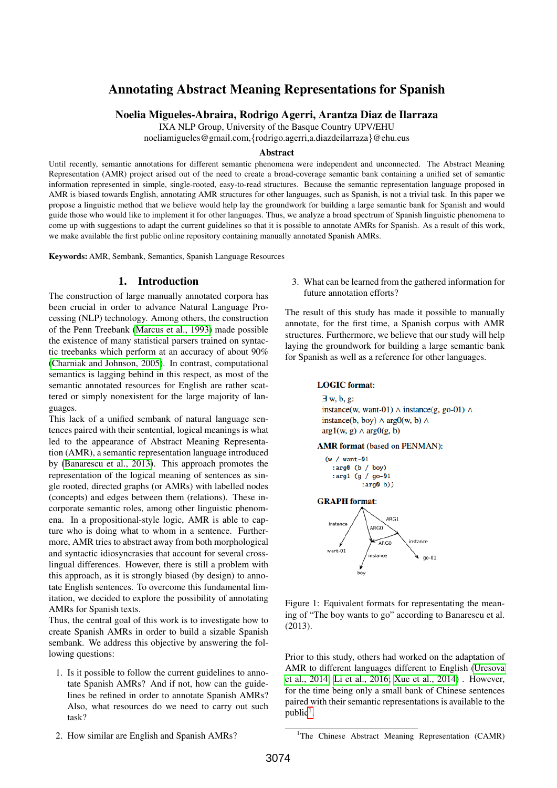# Annotating Abstract Meaning Representations for Spanish

Noelia Migueles-Abraira, Rodrigo Agerri, Arantza Diaz de Ilarraza

IXA NLP Group, University of the Basque Country UPV/EHU

noeliamigueles@gmail.com,{rodrigo.agerri,a.diazdeilarraza}@ehu.eus

#### Abstract

Until recently, semantic annotations for different semantic phenomena were independent and unconnected. The Abstract Meaning Representation (AMR) project arised out of the need to create a broad-coverage semantic bank containing a unified set of semantic information represented in simple, single-rooted, easy-to-read structures. Because the semantic representation language proposed in AMR is biased towards English, annotating AMR structures for other languages, such as Spanish, is not a trivial task. In this paper we propose a linguistic method that we believe would help lay the groundwork for building a large semantic bank for Spanish and would guide those who would like to implement it for other languages. Thus, we analyze a broad spectrum of Spanish linguistic phenomena to come up with suggestions to adapt the current guidelines so that it is possible to annotate AMRs for Spanish. As a result of this work, we make available the first public online repository containing manually annotated Spanish AMRs.

Keywords: AMR, Sembank, Semantics, Spanish Language Resources

## 1. Introduction

The construction of large manually annotated corpora has been crucial in order to advance Natural Language Processing (NLP) technology. Among others, the construction of the Penn Treebank [\(Marcus et al., 1993\)](#page-4-0) made possible the existence of many statistical parsers trained on syntactic treebanks which perform at an accuracy of about 90% [\(Charniak and Johnson, 2005\)](#page-4-1). In contrast, computational semantics is lagging behind in this respect, as most of the semantic annotated resources for English are rather scattered or simply nonexistent for the large majority of languages.

This lack of a unified sembank of natural language sentences paired with their sentential, logical meanings is what led to the appearance of Abstract Meaning Representation (AMR), a semantic representation language introduced by [\(Banarescu et al., 2013\)](#page-4-2). This approach promotes the representation of the logical meaning of sentences as single rooted, directed graphs (or AMRs) with labelled nodes (concepts) and edges between them (relations). These incorporate semantic roles, among other linguistic phenomena. In a propositional-style logic, AMR is able to capture who is doing what to whom in a sentence. Furthermore, AMR tries to abstract away from both morphological and syntactic idiosyncrasies that account for several crosslingual differences. However, there is still a problem with this approach, as it is strongly biased (by design) to annotate English sentences. To overcome this fundamental limitation, we decided to explore the possibility of annotating AMRs for Spanish texts.

Thus, the central goal of this work is to investigate how to create Spanish AMRs in order to build a sizable Spanish sembank. We address this objective by answering the following questions:

1. Is it possible to follow the current guidelines to annotate Spanish AMRs? And if not, how can the guidelines be refined in order to annotate Spanish AMRs? Also, what resources do we need to carry out such task?

3. What can be learned from the gathered information for future annotation efforts?

The result of this study has made it possible to manually annotate, for the first time, a Spanish corpus with AMR structures. Furthermore, we believe that our study will help laying the groundwork for building a large semantic bank for Spanish as well as a reference for other languages.

#### **LOGIC** format:

 $\exists$  w, b, g: instance(w, want-01)  $\land$  instance(g, go-01)  $\land$ instance(b, boy)  $\land$  arg0(w, b)  $\land$  $argl(w, g) \wedge argl(g, b)$ 

**AMR** format (based on PENMAN):





<span id="page-0-1"></span>Figure 1: Equivalent formats for representating the meaning of "The boy wants to go" according to Banarescu et al. (2013).

Prior to this study, others had worked on the adaptation of AMR to different languages different to English [\(Uresova](#page-4-3) [et al., 2014;](#page-4-3) [Li et al., 2016;](#page-4-4) [Xue et al., 2014\)](#page-4-5) . However, for the time being only a small bank of Chinese sentences paired with their semantic representations is available to the  $public<sup>1</sup>$  $public<sup>1</sup>$  $public<sup>1</sup>$ .

2. How similar are English and Spanish AMRs?

<span id="page-0-0"></span><sup>&</sup>lt;sup>1</sup>The Chinese Abstract Meaning Representation (CAMR)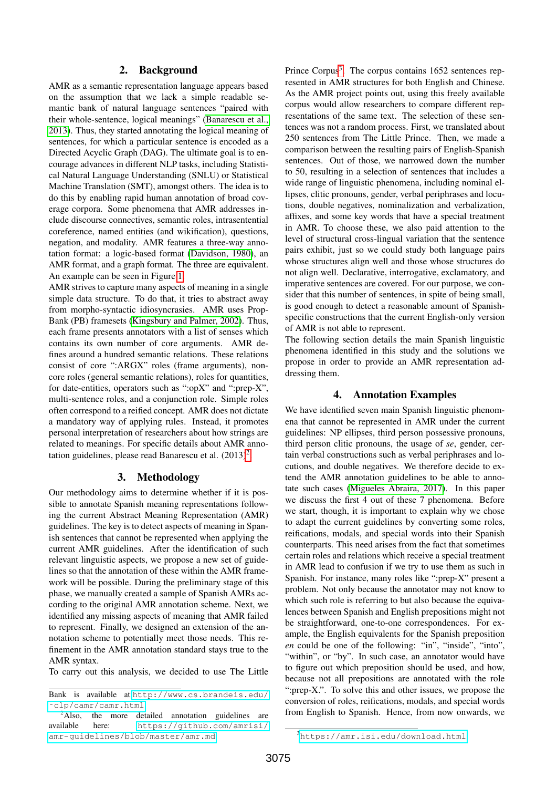## 2. Background

AMR as a semantic representation language appears based on the assumption that we lack a simple readable semantic bank of natural language sentences "paired with their whole-sentence, logical meanings" [\(Banarescu et al.,](#page-4-2) [2013\)](#page-4-2). Thus, they started annotating the logical meaning of sentences, for which a particular sentence is encoded as a Directed Acyclic Graph (DAG). The ultimate goal is to encourage advances in different NLP tasks, including Statistical Natural Language Understanding (SNLU) or Statistical Machine Translation (SMT), amongst others. The idea is to do this by enabling rapid human annotation of broad coverage corpora. Some phenomena that AMR addresses include discourse connectives, semantic roles, intrasentential coreference, named entities (and wikification), questions, negation, and modality. AMR features a three-way annotation format: a logic-based format [\(Davidson, 1980\)](#page-4-6), an AMR format, and a graph format. The three are equivalent. An example can be seen in Figure [1.](#page-0-1)

AMR strives to capture many aspects of meaning in a single simple data structure. To do that, it tries to abstract away from morpho-syntactic idiosyncrasies. AMR uses Prop-Bank (PB) framesets [\(Kingsbury and Palmer, 2002\)](#page-4-7). Thus, each frame presents annotators with a list of senses which contains its own number of core arguments. AMR defines around a hundred semantic relations. These relations consist of core ":ARGX" roles (frame arguments), noncore roles (general semantic relations), roles for quantities, for date-entities, operators such as ":opX" and ":prep-X", multi-sentence roles, and a conjunction role. Simple roles often correspond to a reified concept. AMR does not dictate a mandatory way of applying rules. Instead, it promotes personal interpretation of researchers about how strings are related to meanings. For specific details about AMR annotation guidelines, please read Banarescu et al.  $(2013)^2$  $(2013)^2$  $(2013)^2$ .

#### 3. Methodology

Our methodology aims to determine whether if it is possible to annotate Spanish meaning representations following the current Abstract Meaning Representation (AMR) guidelines. The key is to detect aspects of meaning in Spanish sentences that cannot be represented when applying the current AMR guidelines. After the identification of such relevant linguistic aspects, we propose a new set of guidelines so that the annotation of these within the AMR framework will be possible. During the preliminary stage of this phase, we manually created a sample of Spanish AMRs according to the original AMR annotation scheme. Next, we identified any missing aspects of meaning that AMR failed to represent. Finally, we designed an extension of the annotation scheme to potentially meet those needs. This refinement in the AMR annotation standard stays true to the AMR syntax.

To carry out this analysis, we decided to use The Little

Prince Corpus<sup>[3](#page-1-1)</sup>. The corpus contains 1652 sentences represented in AMR structures for both English and Chinese. As the AMR project points out, using this freely available corpus would allow researchers to compare different representations of the same text. The selection of these sentences was not a random process. First, we translated about 250 sentences from The Little Prince. Then, we made a comparison between the resulting pairs of English-Spanish sentences. Out of those, we narrowed down the number to 50, resulting in a selection of sentences that includes a wide range of linguistic phenomena, including nominal ellipses, clitic pronouns, gender, verbal periphrases and locutions, double negatives, nominalization and verbalization, affixes, and some key words that have a special treatment in AMR. To choose these, we also paid attention to the level of structural cross-lingual variation that the sentence pairs exhibit, just so we could study both language pairs whose structures align well and those whose structures do not align well. Declarative, interrogative, exclamatory, and imperative sentences are covered. For our purpose, we consider that this number of sentences, in spite of being small, is good enough to detect a reasonable amount of Spanishspecific constructions that the current English-only version of AMR is not able to represent.

The following section details the main Spanish linguistic phenomena identified in this study and the solutions we propose in order to provide an AMR representation addressing them.

#### 4. Annotation Examples

We have identified seven main Spanish linguistic phenomena that cannot be represented in AMR under the current guidelines: NP ellipses, third person possessive pronouns, third person clitic pronouns, the usage of *se*, gender, certain verbal constructions such as verbal periphrases and locutions, and double negatives. We therefore decide to extend the AMR annotation guidelines to be able to annotate such cases [\(Migueles Abraira, 2017\)](#page-4-8). In this paper we discuss the first 4 out of these 7 phenomena. Before we start, though, it is important to explain why we chose to adapt the current guidelines by converting some roles, reifications, modals, and special words into their Spanish counterparts. This need arises from the fact that sometimes certain roles and relations which receive a special treatment in AMR lead to confusion if we try to use them as such in Spanish. For instance, many roles like ":prep-X" present a problem. Not only because the annotator may not know to which such role is referring to but also because the equivalences between Spanish and English prepositions might not be straightforward, one-to-one correspondences. For example, the English equivalents for the Spanish preposition *en* could be one of the following: "in", "inside", "into", "within", or "by". In such case, an annotator would have to figure out which preposition should be used, and how, because not all prepositions are annotated with the role ":prep-X.". To solve this and other issues, we propose the conversion of roles, reifications, modals, and special words from English to Spanish. Hence, from now onwards, we

Bank is available at:[http://www.cs.brandeis.edu/](http://www.cs.brandeis.edu/~clp/camr/camr.html) [˜clp/camr/camr.html](http://www.cs.brandeis.edu/~clp/camr/camr.html)

<span id="page-1-0"></span> $2$ Also, the more detailed annotation guidelines are available here: [https://github.com/amrisi/](https://github.com/amrisi/amr-guidelines/blob/master/amr.md) [amr-guidelines/blob/master/amr.md](https://github.com/amrisi/amr-guidelines/blob/master/amr.md)

<span id="page-1-1"></span><sup>3</sup><https://amr.isi.edu/download.html>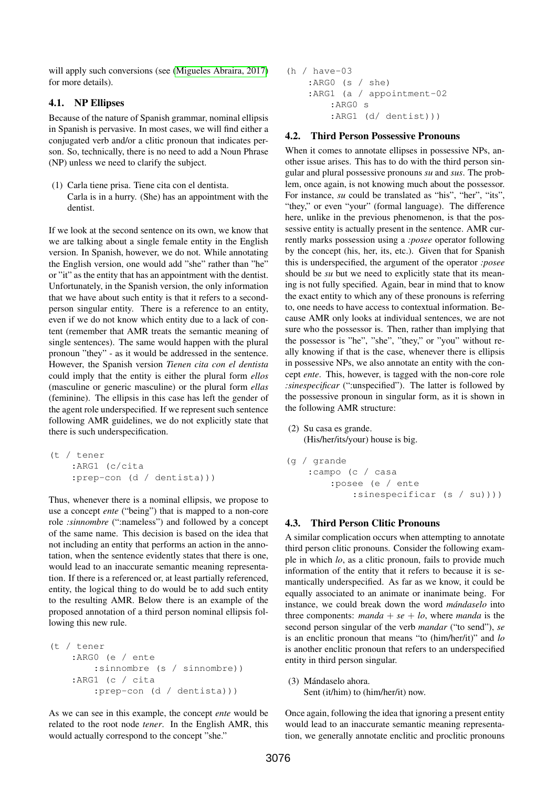will apply such conversions (see [\(Migueles Abraira, 2017\)](#page-4-8) for more details).

## 4.1. NP Ellipses

Because of the nature of Spanish grammar, nominal ellipsis in Spanish is pervasive. In most cases, we will find either a conjugated verb and/or a clitic pronoun that indicates person. So, technically, there is no need to add a Noun Phrase (NP) unless we need to clarify the subject.

(1) Carla tiene prisa. Tiene cita con el dentista. Carla is in a hurry. (She) has an appointment with the dentist.

If we look at the second sentence on its own, we know that we are talking about a single female entity in the English version. In Spanish, however, we do not. While annotating the English version, one would add "she" rather than "he" or "it" as the entity that has an appointment with the dentist. Unfortunately, in the Spanish version, the only information that we have about such entity is that it refers to a secondperson singular entity. There is a reference to an entity, even if we do not know which entity due to a lack of content (remember that AMR treats the semantic meaning of single sentences). The same would happen with the plural pronoun "they" - as it would be addressed in the sentence. However, the Spanish version *Tienen cita con el dentista* could imply that the entity is either the plural form *ellos* (masculine or generic masculine) or the plural form *ellas* (feminine). The ellipsis in this case has left the gender of the agent role underspecified. If we represent such sentence following AMR guidelines, we do not explicitly state that there is such underspecification.

```
(t / tener
 :ARG1 (c/cita
 :prep-con (d / dentista)))
```
Thus, whenever there is a nominal ellipsis, we propose to use a concept *ente* ("being") that is mapped to a non-core role *:sinnombre* (":nameless") and followed by a concept of the same name. This decision is based on the idea that not including an entity that performs an action in the annotation, when the sentence evidently states that there is one, would lead to an inaccurate semantic meaning representation. If there is a referenced or, at least partially referenced, entity, the logical thing to do would be to add such entity to the resulting AMR. Below there is an example of the proposed annotation of a third person nominal ellipsis following this new rule.

```
(t / tener
 :ARG0 (e / ente
     :sinnombre (s / sinnombre))
 :ARG1 (c / cita
     :prep-con (d / dentista)))
```
As we can see in this example, the concept *ente* would be related to the root node *tener*. In the English AMR, this would actually correspond to the concept "she."

```
(h / have-03
 :ARG0 (s / she)
 :ARG1 (a / appointment-02
     :ARG0 s
     :ARG1 (d/ dentist)))
```
#### 4.2. Third Person Possessive Pronouns

When it comes to annotate ellipses in possessive NPs, another issue arises. This has to do with the third person singular and plural possessive pronouns *su* and *sus*. The problem, once again, is not knowing much about the possessor. For instance, *su* could be translated as "his", "her", "its", "they," or even "your" (formal language). The difference here, unlike in the previous phenomenon, is that the possessive entity is actually present in the sentence. AMR currently marks possession using a *:posee* operator following by the concept (his, her, its, etc.). Given that for Spanish this is underspecified, the argument of the operator *:posee* should be *su* but we need to explicitly state that its meaning is not fully specified. Again, bear in mind that to know the exact entity to which any of these pronouns is referring to, one needs to have access to contextual information. Because AMR only looks at individual sentences, we are not sure who the possessor is. Then, rather than implying that the possessor is "he", "she", "they," or "you" without really knowing if that is the case, whenever there is ellipsis in possessive NPs, we also annotate an entity with the concept *ente*. This, however, is tagged with the non-core role *:sinespecificar* (":unspecified"). The latter is followed by the possessive pronoun in singular form, as it is shown in the following AMR structure:

```
(2) Su casa es grande.
 (His/her/its/your) house is big.
```

```
(g / grande
 :campo (c / casa
     :posee (e / ente
         :sinespecificar (s / su))))
```
## 4.3. Third Person Clitic Pronouns

A similar complication occurs when attempting to annotate third person clitic pronouns. Consider the following example in which *lo*, as a clitic pronoun, fails to provide much information of the entity that it refers to because it is semantically underspecified. As far as we know, it could be equally associated to an animate or inanimate being. For instance, we could break down the word *mándaselo* into three components: *manda* +  $se$  +  $lo$ , where *manda* is the second person singular of the verb *mandar* ("to send"), *se* is an enclitic pronoun that means "to (him/her/it)" and *lo* is another enclitic pronoun that refers to an underspecified entity in third person singular.

(3) Mándaselo ahora. Sent (it/him) to (him/her/it) now.

Once again, following the idea that ignoring a present entity would lead to an inaccurate semantic meaning representation, we generally annotate enclitic and proclitic pronouns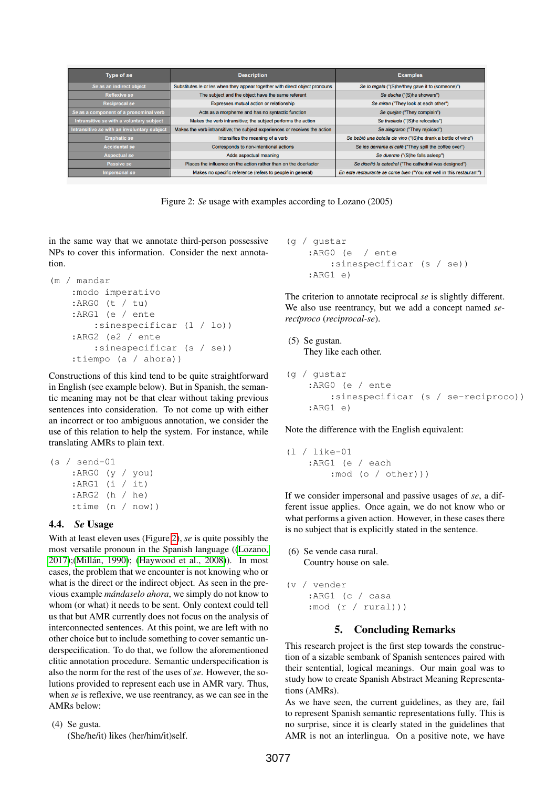| Type of se                                  | <b>Description</b>                                                          | <b>Examples</b>                                                      |
|---------------------------------------------|-----------------------------------------------------------------------------|----------------------------------------------------------------------|
| Se as an indirect object                    | Substitutes le or les when they appear together with direct object pronouns | Se lo regala ("(S)he/they gave it to (someone)")                     |
| <b>Reflexive se</b>                         | The subject and the object have the same referent                           | Se ducha ("(S)he showers")                                           |
| <b>Reciprocal se</b>                        | Expresses mutual action or relationship                                     | Se miran ("They look at each other")                                 |
| Se as a component of a pronominal verb      | Acts as a morpheme and has no syntactic function                            | Se quejan ("They complain")                                          |
| Intransitive se with a voluntary subject    | Makes the verb intransitive; the subject performs the action                | Se traslada ("(S)he relocates")                                      |
| Intransitive se with an involuntary subject | Makes the verb intransitive; the subject experiences or receives the action | Se alegraron ("They rejoiced")                                       |
| <b>Emphatic se</b>                          | Intensifies the meaning of a verb                                           | Se bebió una botella de vino ("(S)he drank a bottle of wine")        |
| <b>Accidental se</b>                        | Corresponds to non-intentional actions                                      | Se les derrama el café ("They spill the coffee over")                |
| <b>Aspectual se</b>                         | Adds aspectual meaning                                                      | Se duerme ("(S)he falls asleep")                                     |
| Passive se                                  | Places the influence on the action rather than on the doer/actor            | Se diseñó la catedral ("The cathedral was designed")                 |
| Impersonal se                               | Makes no specific reference (refers to people in general)                   | En este restaurante se come bien ("You eat well in this restaurant") |

<span id="page-3-0"></span>Figure 2: *Se* usage with examples according to Lozano (2005)

in the same way that we annotate third-person possessive NPs to cover this information. Consider the next annotation.

```
(m / mandar
:modo imperativo
 :ARG0 (t / tu)
 :ARG1 (e / ente
     :sinespecificar (1 / lo))
 :ARG2 (e2 / ente
     :sinespecificar (s / se))
 :tiempo (a / ahora))
```
Constructions of this kind tend to be quite straightforward in English (see example below). But in Spanish, the semantic meaning may not be that clear without taking previous sentences into consideration. To not come up with either an incorrect or too ambiguous annotation, we consider the use of this relation to help the system. For instance, while translating AMRs to plain text.

```
(s / send-01
 :ARG0 (y / you)
 :ARG1 (i / it)
 :ARG2 (h / he)
 :time (n / now))
```
## 4.4. *Se* Usage

With at least eleven uses (Figure [2\)](#page-3-0), *se* is quite possibly the most versatile pronoun in the Spanish language ([\(Lozano,](#page-4-9) [2017\)](#page-4-9);(Millán, 1990); [\(Haywood et al., 2008\)](#page-4-11)). In most cases, the problem that we encounter is not knowing who or what is the direct or the indirect object. As seen in the previous example *mándaselo ahora*, we simply do not know to whom (or what) it needs to be sent. Only context could tell us that but AMR currently does not focus on the analysis of interconnected sentences. At this point, we are left with no other choice but to include something to cover semantic underspecification. To do that, we follow the aforementioned clitic annotation procedure. Semantic underspecification is also the norm for the rest of the uses of *se*. However, the solutions provided to represent each use in AMR vary. Thus, when *se* is reflexive, we use reentrancy, as we can see in the AMRs below:

(4) Se gusta. (She/he/it) likes (her/him/it)self.

```
(g / gustar
 :ARG0 (e / ente
     :sinespecificar (s / se))
 :ARG1 e)
```
The criterion to annotate reciprocal *se* is slightly different. We also use reentrancy, but we add a concept named *se* $recíproco (reciprocal-se).$ 

```
(5) Se gustan.
 They like each other.
```

```
(g / gustar
 :ARG0 (e / ente
     :sinespecificar (s / se-reciproco))
 :ARG1 e)
```
Note the difference with the English equivalent:

(l / like-01 :ARG1 (e / each :mod (o / other)))

If we consider impersonal and passive usages of *se*, a different issue applies. Once again, we do not know who or what performs a given action. However, in these cases there is no subject that is explicitly stated in the sentence.

(6) Se vende casa rural. Country house on sale.

```
(v / vender
 :ARG1 (c / casa
 : mod (r / rural)))
```
# 5. Concluding Remarks

This research project is the first step towards the construction of a sizable sembank of Spanish sentences paired with their sentential, logical meanings. Our main goal was to study how to create Spanish Abstract Meaning Representations (AMRs).

As we have seen, the current guidelines, as they are, fail to represent Spanish semantic representations fully. This is no surprise, since it is clearly stated in the guidelines that AMR is not an interlingua. On a positive note, we have